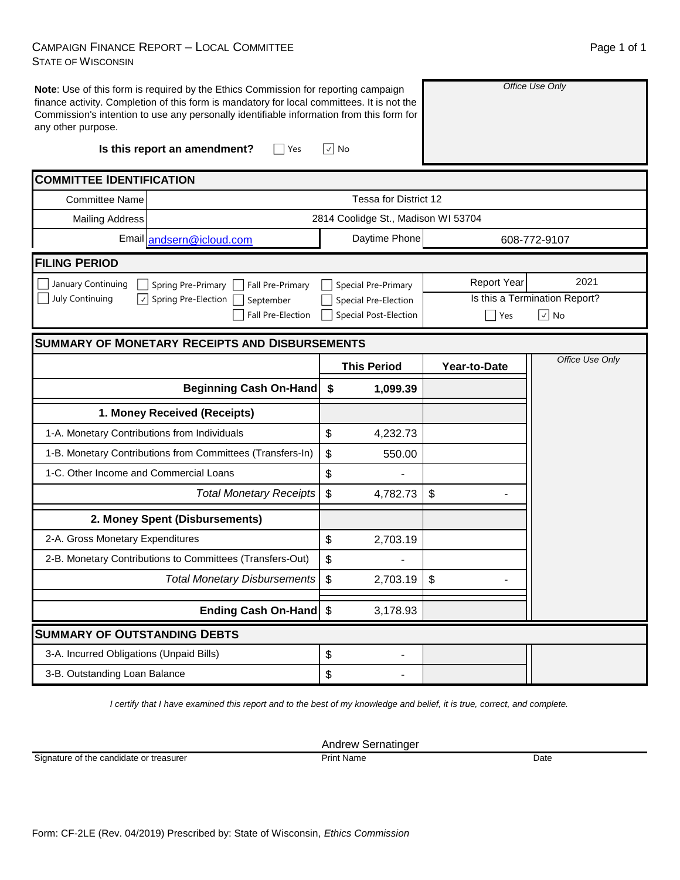### CAMPAIGN FINANCE REPORT – LOCAL COMMITTEE STATE OF WISCONSIN

| any other purpose.                              | Note: Use of this form is required by the Ethics Commission for reporting campaign<br>finance activity. Completion of this form is mandatory for local committees. It is not the<br>Commission's intention to use any personally identifiable information from this form for |                                     |                    | Office Use Only               |
|-------------------------------------------------|------------------------------------------------------------------------------------------------------------------------------------------------------------------------------------------------------------------------------------------------------------------------------|-------------------------------------|--------------------|-------------------------------|
|                                                 | Is this report an amendment?<br>Yes                                                                                                                                                                                                                                          | √ No                                |                    |                               |
| <b>COMMITTEE IDENTIFICATION</b>                 |                                                                                                                                                                                                                                                                              |                                     |                    |                               |
| <b>Committee Name</b>                           |                                                                                                                                                                                                                                                                              | Tessa for District 12               |                    |                               |
| <b>Mailing Address</b>                          |                                                                                                                                                                                                                                                                              | 2814 Coolidge St., Madison WI 53704 |                    |                               |
|                                                 | Email andsern@icloud.com                                                                                                                                                                                                                                                     | Daytime Phone                       |                    | 608-772-9107                  |
| <b>FILING PERIOD</b>                            |                                                                                                                                                                                                                                                                              |                                     |                    |                               |
| January Continuing                              | Spring Pre-Primary<br>Fall Pre-Primary                                                                                                                                                                                                                                       | Special Pre-Primary                 | <b>Report Year</b> | 2021                          |
| July Continuing<br>$ \hspace{.06cm}\downarrow $ | Spring Pre-Election<br>September                                                                                                                                                                                                                                             | Special Pre-Election                |                    | Is this a Termination Report? |
|                                                 | <b>Fall Pre-Election</b>                                                                                                                                                                                                                                                     | <b>Special Post-Election</b>        | Yes                | $\left \sqrt{}\right $ No     |
|                                                 | <b>SUMMARY OF MONETARY RECEIPTS AND DISBURSEMENTS</b>                                                                                                                                                                                                                        |                                     |                    |                               |
|                                                 |                                                                                                                                                                                                                                                                              | <b>This Period</b>                  | Year-to-Date       | Office Use Only               |
|                                                 | <b>Beginning Cash On-Hand</b>                                                                                                                                                                                                                                                | \$<br>1,099.39                      |                    |                               |
|                                                 |                                                                                                                                                                                                                                                                              |                                     |                    |                               |
|                                                 | 1. Money Received (Receipts)                                                                                                                                                                                                                                                 |                                     |                    |                               |
| 1-A. Monetary Contributions from Individuals    |                                                                                                                                                                                                                                                                              | \$<br>4,232.73                      |                    |                               |
|                                                 | 1-B. Monetary Contributions from Committees (Transfers-In)                                                                                                                                                                                                                   | \$<br>550.00                        |                    |                               |
| 1-C. Other Income and Commercial Loans          |                                                                                                                                                                                                                                                                              | \$                                  |                    |                               |
|                                                 | <b>Total Monetary Receipts</b>                                                                                                                                                                                                                                               | \$<br>4,782.73                      | \$                 |                               |
|                                                 | 2. Money Spent (Disbursements)                                                                                                                                                                                                                                               |                                     |                    |                               |
| 2-A. Gross Monetary Expenditures                |                                                                                                                                                                                                                                                                              | \$<br>2,703.19                      |                    |                               |
|                                                 | 2-B. Monetary Contributions to Committees (Transfers-Out)                                                                                                                                                                                                                    | \$                                  |                    |                               |
|                                                 | <b>Total Monetary Disbursements</b>                                                                                                                                                                                                                                          | 2,703.19<br>$\frac{1}{2}$           | \$                 |                               |
|                                                 | Ending Cash On-Hand \$                                                                                                                                                                                                                                                       | 3,178.93                            |                    |                               |
| <b>SUMMARY OF OUTSTANDING DEBTS</b>             |                                                                                                                                                                                                                                                                              |                                     |                    |                               |
| 3-A. Incurred Obligations (Unpaid Bills)        |                                                                                                                                                                                                                                                                              | \$<br>$\overline{\phantom{0}}$      |                    |                               |

*I certify that I have examined this report and to the best of my knowledge and belief, it is true, correct, and complete.*

Andrew Sernatinger

Signature of the candidate or treasurer

Print Name Date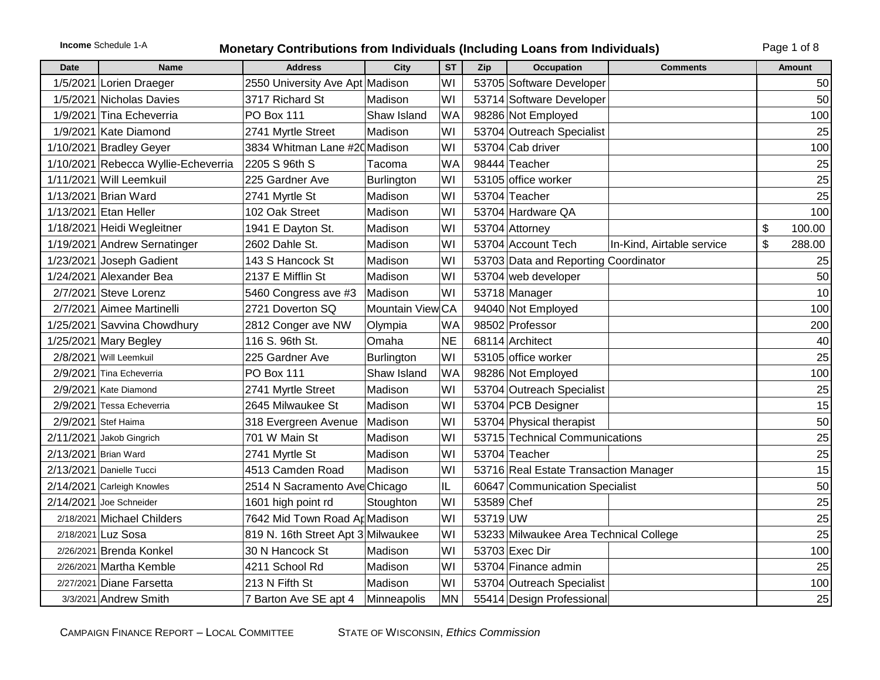# **Income** Schedule 1-A **Monetary Contributions from Individuals (Including Loans from Individuals)** Page 1 of 8

| <b>Date</b>          | <b>Name</b>                         | <b>Address</b>                     | City              | <b>ST</b> | Zip        | Occupation                             | <b>Comments</b>           | Amount       |
|----------------------|-------------------------------------|------------------------------------|-------------------|-----------|------------|----------------------------------------|---------------------------|--------------|
|                      | 1/5/2021 Lorien Draeger             | 2550 University Ave Apt Madison    |                   | WI        |            | 53705 Software Developer               |                           | 50           |
|                      | 1/5/2021 Nicholas Davies            | 3717 Richard St                    | Madison           | WI        |            | 53714 Software Developer               |                           | 50           |
|                      | 1/9/2021 Tina Echeverria            | <b>PO Box 111</b>                  | Shaw Island       | WA        |            | 98286 Not Employed                     |                           | 100          |
|                      | 1/9/2021 Kate Diamond               | 2741 Myrtle Street                 | Madison           | WI        |            | 53704 Outreach Specialist              |                           | 25           |
|                      | 1/10/2021 Bradley Geyer             | 3834 Whitman Lane #20 Madison      |                   | WI        |            | 53704 Cab driver                       |                           | 100          |
|                      | 1/10/2021 Rebecca Wyllie-Echeverria | 2205 S 96th S                      | Tacoma            | <b>WA</b> |            | 98444 Teacher                          |                           | 25           |
|                      | 1/11/2021 Will Leemkuil             | 225 Gardner Ave                    | <b>Burlington</b> | WI        |            | 53105 office worker                    |                           | 25           |
|                      | 1/13/2021 Brian Ward                | 2741 Myrtle St                     | Madison           | WI        |            | 53704 Teacher                          |                           | 25           |
|                      | 1/13/2021 Etan Heller               | 102 Oak Street                     | Madison           | WI        |            | 53704 Hardware QA                      |                           | 100          |
|                      | 1/18/2021 Heidi Wegleitner          | 1941 E Dayton St.                  | Madison           | WI        |            | 53704 Attorney                         |                           | \$<br>100.00 |
|                      | 1/19/2021 Andrew Sernatinger        | 2602 Dahle St.                     | Madison           | WI        |            | 53704 Account Tech                     | In-Kind, Airtable service | \$<br>288.00 |
|                      | 1/23/2021 Joseph Gadient            | 143 S Hancock St                   | Madison           | WI        |            | 53703 Data and Reporting Coordinator   |                           | 25           |
|                      | 1/24/2021 Alexander Bea             | 2137 E Mifflin St                  | Madison           | WI        |            | 53704 web developer                    |                           | 50           |
|                      | 2/7/2021 Steve Lorenz               | 5460 Congress ave #3               | Madison           | WI        |            | 53718 Manager                          |                           | 10           |
|                      | 2/7/2021 Aimee Martinelli           | 2721 Doverton SQ                   | Mountain View CA  |           |            | 94040 Not Employed                     |                           | 100          |
|                      | 1/25/2021 Savvina Chowdhury         | 2812 Conger ave NW                 | Olympia           | WA        |            | 98502 Professor                        |                           | 200          |
|                      | 1/25/2021 Mary Begley               | 116 S. 96th St.                    | Omaha             | <b>NE</b> |            | 68114 Architect                        |                           | 40           |
|                      | 2/8/2021 Will Leemkuil              | 225 Gardner Ave                    | Burlington        | WI        |            | 53105 office worker                    |                           | 25           |
|                      | 2/9/2021 Tina Echeverria            | <b>PO Box 111</b>                  | Shaw Island       | <b>WA</b> |            | 98286 Not Employed                     |                           | 100          |
|                      | 2/9/2021 Kate Diamond               | 2741 Myrtle Street                 | Madison           | WI        |            | 53704 Outreach Specialist              |                           | 25           |
|                      | 2/9/2021 Tessa Echeverria           | 2645 Milwaukee St                  | Madison           | WI        |            | 53704 PCB Designer                     |                           | 15           |
|                      | 2/9/2021 Stef Haima                 | 318 Evergreen Avenue               | Madison           | WI        |            | 53704 Physical therapist               |                           | 50           |
|                      | 2/11/2021 Jakob Gingrich            | 701 W Main St                      | Madison           | WI        |            | 53715 Technical Communications         |                           | 25           |
| 2/13/2021 Brian Ward |                                     | 2741 Myrtle St                     | Madison           | WI        |            | 53704 Teacher                          |                           | 25           |
|                      | 2/13/2021 Danielle Tucci            | 4513 Camden Road                   | Madison           | WI        |            | 53716 Real Estate Transaction Manager  |                           | 15           |
|                      | 2/14/2021 Carleigh Knowles          | 2514 N Sacramento Ave Chicago      |                   | IL        |            | 60647 Communication Specialist         |                           | 50           |
|                      | 2/14/2021 Joe Schneider             | 1601 high point rd                 | Stoughton         | WI        | 53589 Chef |                                        |                           | 25           |
|                      | 2/18/2021 Michael Childers          | 7642 Mid Town Road Ap Madison      |                   | WI        | 53719 UW   |                                        |                           | 25           |
|                      | 2/18/2021 Luz Sosa                  | 819 N. 16th Street Apt 3 Milwaukee |                   | WI        |            | 53233 Milwaukee Area Technical College |                           | 25           |
|                      | 2/26/2021 Brenda Konkel             | 30 N Hancock St                    | Madison           | WI        |            | 53703 Exec Dir                         |                           | 100          |
|                      | $2/26/2021$ Martha Kemble           | 4211 School Rd                     | Madison           | WI        |            | 53704 Finance admin                    |                           | 25           |
|                      | 2/27/2021 Diane Farsetta            | 213 N Fifth St                     | Madison           | WI        |            | 53704 Outreach Specialist              |                           | 100          |
|                      | 3/3/2021 Andrew Smith               | 7 Barton Ave SE apt 4              | Minneapolis       | <b>MN</b> |            | 55414 Design Professional              |                           | 25           |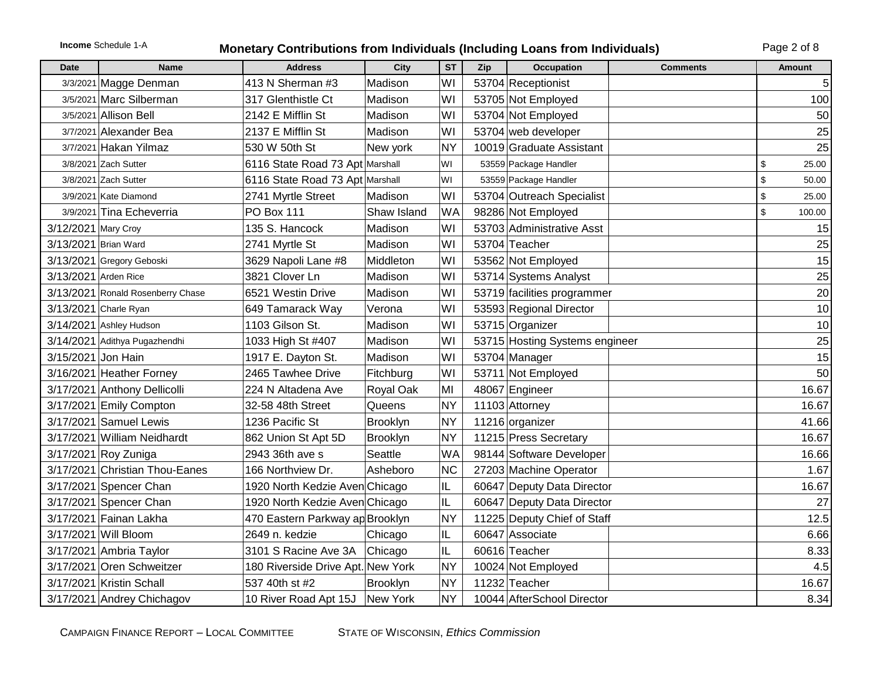# **Income** Schedule 1-A **Monetary Contributions from Individuals (Including Loans from Individuals)** Page 2 of 8

| Date                 | <b>Name</b>                       | <b>Address</b>                    | <b>City</b> | <b>ST</b> | Zip | Occupation                     | <b>Comments</b> | <b>Amount</b> |
|----------------------|-----------------------------------|-----------------------------------|-------------|-----------|-----|--------------------------------|-----------------|---------------|
|                      | 3/3/2021 Magge Denman             | 413 N Sherman #3                  | Madison     | WI        |     | 53704 Receptionist             |                 | 5             |
|                      | 3/5/2021 Marc Silberman           | 317 Glenthistle Ct                | Madison     | WI        |     | 53705 Not Employed             |                 | 100           |
|                      | 3/5/2021 Allison Bell             | 2142 E Mifflin St                 | Madison     | WI        |     | 53704 Not Employed             |                 | 50            |
|                      | 3/7/2021 Alexander Bea            | 2137 E Mifflin St                 | Madison     | WI        |     | 53704 web developer            |                 | 25            |
|                      | 3/7/2021 Hakan Yilmaz             | 530 W 50th St                     | New york    | <b>NY</b> |     | 10019 Graduate Assistant       |                 | 25            |
|                      | 3/8/2021 Zach Sutter              | 6116 State Road 73 Apt Marshall   |             | WI        |     | 53559 Package Handler          |                 | \$<br>25.00   |
|                      | 3/8/2021 Zach Sutter              | 6116 State Road 73 Apt Marshall   |             | WI        |     | 53559 Package Handler          |                 | \$<br>50.00   |
|                      | 3/9/2021 Kate Diamond             | 2741 Myrtle Street                | Madison     | WI        |     | 53704 Outreach Specialist      |                 | \$<br>25.00   |
|                      | 3/9/2021 Tina Echeverria          | PO Box 111                        | Shaw Island | <b>WA</b> |     | 98286 Not Employed             |                 | \$<br>100.00  |
| 3/12/2021 Mary Croy  |                                   | 135 S. Hancock                    | Madison     | WI        |     | 53703 Administrative Asst      |                 | 15            |
|                      | 3/13/2021 Brian Ward              | 2741 Myrtle St                    | Madison     | WI        |     | 53704 Teacher                  |                 | 25            |
|                      | 3/13/2021 Gregory Geboski         | 3629 Napoli Lane #8               | Middleton   | WI        |     | 53562 Not Employed             |                 | 15            |
| 3/13/2021 Arden Rice |                                   | 3821 Clover Ln                    | Madison     | WI        |     | 53714 Systems Analyst          |                 | 25            |
|                      | 3/13/2021 Ronald Rosenberry Chase | 6521 Westin Drive                 | Madison     | WI        |     | 53719 facilities programmer    |                 | 20            |
|                      | 3/13/2021 Charle Ryan             | 649 Tamarack Way                  | Verona      | WI        |     | 53593 Regional Director        |                 | 10            |
|                      | 3/14/2021 Ashley Hudson           | 1103 Gilson St.                   | Madison     | WI        |     | 53715 Organizer                |                 | 10            |
|                      | 3/14/2021 Adithya Pugazhendhi     | 1033 High St #407                 | Madison     | WI        |     | 53715 Hosting Systems engineer |                 | 25            |
| 3/15/2021 Jon Hain   |                                   | 1917 E. Dayton St.                | Madison     | WI        |     | 53704 Manager                  |                 | 15            |
|                      | 3/16/2021 Heather Forney          | 2465 Tawhee Drive                 | Fitchburg   | WI        |     | 53711 Not Employed             |                 | 50            |
|                      | 3/17/2021 Anthony Dellicolli      | 224 N Altadena Ave                | Royal Oak   | MI        |     | 48067 Engineer                 |                 | 16.67         |
|                      | 3/17/2021 Emily Compton           | 32-58 48th Street                 | Queens      | <b>NY</b> |     | 11103 Attorney                 |                 | 16.67         |
|                      | 3/17/2021 Samuel Lewis            | 1236 Pacific St                   | Brooklyn    | <b>NY</b> |     | 11216 organizer                |                 | 41.66         |
|                      | 3/17/2021 William Neidhardt       | 862 Union St Apt 5D               | Brooklyn    | <b>NY</b> |     | 11215 Press Secretary          |                 | 16.67         |
|                      | 3/17/2021 Roy Zuniga              | 2943 36th ave s                   | Seattle     | <b>WA</b> |     | 98144 Software Developer       |                 | 16.66         |
|                      | 3/17/2021 Christian Thou-Eanes    | 166 Northview Dr.                 | Asheboro    | <b>NC</b> |     | 27203 Machine Operator         |                 | 1.67          |
|                      | 3/17/2021 Spencer Chan            | 1920 North Kedzie Aven Chicago    |             | IL.       |     | 60647 Deputy Data Director     |                 | 16.67         |
|                      | 3/17/2021 Spencer Chan            | 1920 North Kedzie Aven Chicago    |             | IL        |     | 60647 Deputy Data Director     |                 | 27            |
|                      | 3/17/2021 Fainan Lakha            | 470 Eastern Parkway ap Brooklyn   |             | <b>NY</b> |     | 11225 Deputy Chief of Staff    |                 | 12.5          |
|                      | 3/17/2021 Will Bloom              | 2649 n. kedzie                    | Chicago     | IL.       |     | 60647 Associate                |                 | 6.66          |
|                      | 3/17/2021 Ambria Taylor           | 3101 S Racine Ave 3A              | Chicago     | IL        |     | 60616 Teacher                  |                 | 8.33          |
|                      | 3/17/2021 Oren Schweitzer         | 180 Riverside Drive Apt. New York |             | <b>NY</b> |     | 10024 Not Employed             |                 | 4.5           |
|                      | 3/17/2021 Kristin Schall          | 537 40th st #2                    | Brooklyn    | <b>NY</b> |     | 11232 Teacher                  |                 | 16.67         |
|                      | 3/17/2021 Andrey Chichagov        | 10 River Road Apt 15J New York    |             | <b>NY</b> |     | 10044 AfterSchool Director     |                 | 8.34          |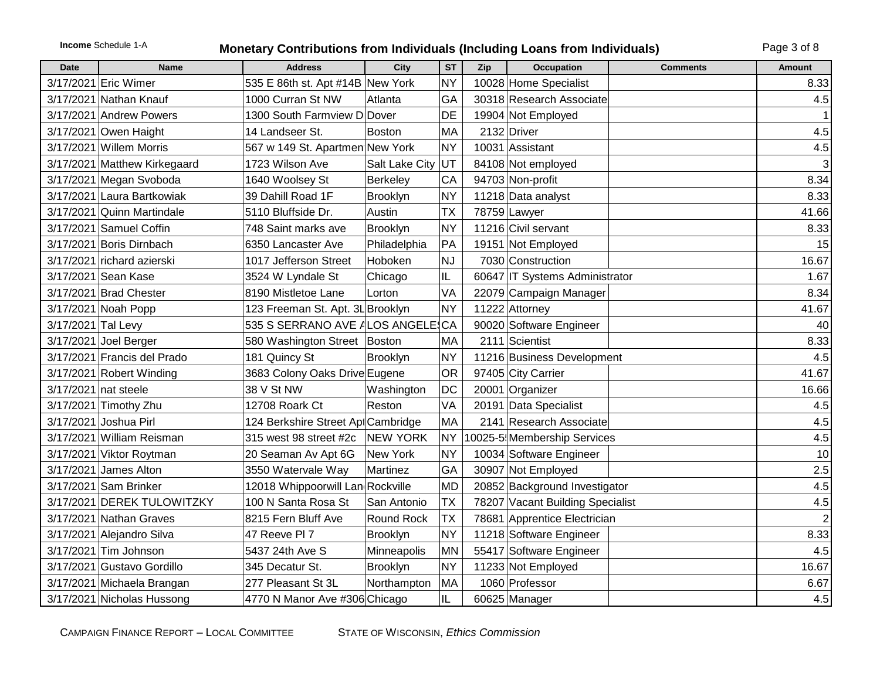### **Income** Schedule 1-A **Monetary Contributions from Individuals (Including Loans from Individuals)** Page 3 of 8

| <b>Date</b>        | <b>Name</b>                  | <b>Address</b>                     | City            | <b>ST</b> | Zip | Occupation                       | <b>Comments</b> | <b>Amount</b> |
|--------------------|------------------------------|------------------------------------|-----------------|-----------|-----|----------------------------------|-----------------|---------------|
|                    | 3/17/2021 Eric Wimer         | 535 E 86th st. Apt #14B New York   |                 | <b>NY</b> |     | 10028 Home Specialist            |                 | 8.33          |
|                    | 3/17/2021 Nathan Knauf       | 1000 Curran St NW                  | Atlanta         | GA        |     | 30318 Research Associate         |                 | 4.5           |
|                    | 3/17/2021 Andrew Powers      | 1300 South Farmview D Dover        |                 | DE        |     | 19904 Not Employed               |                 |               |
|                    | 3/17/2021 Owen Haight        | 14 Landseer St.                    | <b>Boston</b>   | <b>MA</b> |     | 2132 Driver                      |                 | 4.5           |
|                    | 3/17/2021 Willem Morris      | 567 w 149 St. Apartmen New York    |                 | <b>NY</b> |     | 10031 Assistant                  |                 | 4.5           |
|                    | 3/17/2021 Matthew Kirkegaard | 1723 Wilson Ave                    | Salt Lake City  | UT        |     | 84108 Not employed               |                 | 3             |
|                    | 3/17/2021 Megan Svoboda      | 1640 Woolsey St                    | Berkeley        | CA        |     | 94703 Non-profit                 |                 | 8.34          |
|                    | 3/17/2021 Laura Bartkowiak   | 39 Dahill Road 1F                  | Brooklyn        | <b>NY</b> |     | 11218 Data analyst               |                 | 8.33          |
|                    | 3/17/2021 Quinn Martindale   | 5110 Bluffside Dr.                 | Austin          | <b>TX</b> |     | 78759 Lawyer                     |                 | 41.66         |
|                    | 3/17/2021 Samuel Coffin      | 748 Saint marks ave                | Brooklyn        | <b>NY</b> |     | 11216 Civil servant              |                 | 8.33          |
|                    | 3/17/2021 Boris Dirnbach     | 6350 Lancaster Ave                 | Philadelphia    | PA        |     | 19151 Not Employed               |                 | 15            |
|                    | 3/17/2021 richard azierski   | 1017 Jefferson Street              | Hoboken         | <b>NJ</b> |     | 7030 Construction                |                 | 16.67         |
|                    | 3/17/2021 Sean Kase          | 3524 W Lyndale St                  | Chicago         | IL        |     | 60647 IT Systems Administrator   |                 | 1.67          |
|                    | 3/17/2021 Brad Chester       | 8190 Mistletoe Lane                | Lorton          | VA        |     | 22079 Campaign Manager           |                 | 8.34          |
|                    | 3/17/2021 Noah Popp          | 123 Freeman St. Apt. 3L Brooklyn   |                 | <b>NY</b> |     | 11222 Attorney                   |                 | 41.67         |
| 3/17/2021 Tal Levy |                              | 535 S SERRANO AVE ALOS ANGELE CA   |                 |           |     | 90020 Software Engineer          |                 | 40            |
|                    | 3/17/2021 Joel Berger        | 580 Washington Street   Boston     |                 | <b>MA</b> |     | 2111 Scientist                   |                 | 8.33          |
|                    | 3/17/2021 Francis del Prado  | 181 Quincy St                      | <b>Brooklyn</b> | <b>NY</b> |     | 11216 Business Development       |                 | 4.5           |
|                    | 3/17/2021 Robert Winding     | 3683 Colony Oaks Drive Eugene      |                 | OR        |     | 97405 City Carrier               |                 | 41.67         |
|                    | 3/17/2021 nat steele         | 38 V St NW                         | Washington      | DC        |     | 20001 Organizer                  |                 | 16.66         |
|                    | 3/17/2021 Timothy Zhu        | 12708 Roark Ct                     | Reston          | VA        |     | 20191 Data Specialist            |                 | 4.5           |
|                    | 3/17/2021 Joshua Pirl        | 124 Berkshire Street Apt Cambridge |                 | <b>MA</b> |     | 2141 Research Associate          |                 | 4.5           |
|                    | 3/17/2021 William Reisman    | 315 west 98 street #2c             | <b>NEW YORK</b> | <b>NY</b> |     | 10025-5 Membership Services      |                 | 4.5           |
|                    | 3/17/2021 Viktor Roytman     | 20 Seaman Av Apt 6G                | New York        | <b>NY</b> |     | 10034 Software Engineer          |                 | 10            |
|                    | 3/17/2021 James Alton        | 3550 Watervale Way                 | Martinez        | GA        |     | 30907 Not Employed               |                 | 2.5           |
|                    | 3/17/2021 Sam Brinker        | 12018 Whippoorwill Lan Rockville   |                 | <b>MD</b> |     | 20852 Background Investigator    |                 | 4.5           |
|                    | 3/17/2021 DEREK TULOWITZKY   | 100 N Santa Rosa St                | San Antonio     | <b>TX</b> |     | 78207 Vacant Building Specialist |                 | 4.5           |
|                    | 3/17/2021 Nathan Graves      | 8215 Fern Bluff Ave                | Round Rock      | <b>TX</b> |     | 78681 Apprentice Electrician     |                 |               |
|                    | 3/17/2021 Alejandro Silva    | 47 Reeve PI 7                      | Brooklyn        | <b>NY</b> |     | 11218 Software Engineer          |                 | 8.33          |
|                    | 3/17/2021 Tim Johnson        | 5437 24th Ave S                    | Minneapolis     | <b>MN</b> |     | 55417 Software Engineer          |                 | 4.5           |
|                    | 3/17/2021 Gustavo Gordillo   | 345 Decatur St.                    | Brooklyn        | <b>NY</b> |     | 11233 Not Employed               |                 | 16.67         |
|                    | 3/17/2021 Michaela Brangan   | 277 Pleasant St 3L                 | Northampton     | <b>MA</b> |     | 1060 Professor                   |                 | 6.67          |
|                    | 3/17/2021 Nicholas Hussong   | 4770 N Manor Ave #306 Chicago      |                 | IL        |     | 60625 Manager                    |                 | 4.5           |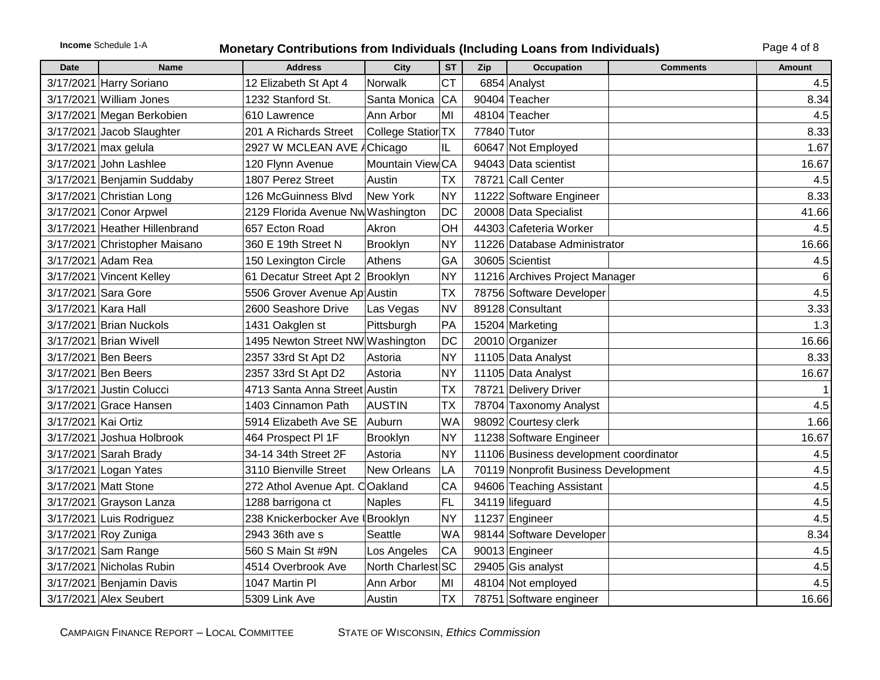# **Income** Schedule 1-A **Monetary Contributions from Individuals (Including Loans from Individuals)** Page 4 of 8

| <b>Date</b>         | <b>Name</b>                   | <b>Address</b>                    | City               | <b>ST</b> | Zip         | <b>Occupation</b>                      | <b>Comments</b> | Amount         |
|---------------------|-------------------------------|-----------------------------------|--------------------|-----------|-------------|----------------------------------------|-----------------|----------------|
|                     | 3/17/2021 Harry Soriano       | 12 Elizabeth St Apt 4             | <b>Norwalk</b>     | <b>CT</b> |             | 6854 Analyst                           |                 | 4.5            |
|                     | 3/17/2021 William Jones       | 1232 Stanford St.                 | Santa Monica       | <b>CA</b> |             | 90404 Teacher                          |                 | 8.34           |
|                     | 3/17/2021 Megan Berkobien     | 610 Lawrence                      | Ann Arbor          | MI        |             | 48104 Teacher                          |                 | 4.5            |
|                     | 3/17/2021 Jacob Slaughter     | 201 A Richards Street             | College Statior TX |           | 77840 Tutor |                                        |                 | 8.33           |
|                     | 3/17/2021 max gelula          | 2927 W MCLEAN AVE AChicago        |                    | IL        |             | 60647 Not Employed                     |                 | 1.67           |
|                     | 3/17/2021 John Lashlee        | 120 Flynn Avenue                  | Mountain View CA   |           |             | 94043 Data scientist                   |                 | 16.67          |
|                     | 3/17/2021 Benjamin Suddaby    | 1807 Perez Street                 | Austin             | <b>TX</b> |             | 78721 Call Center                      |                 | 4.5            |
|                     | 3/17/2021 Christian Long      | 126 McGuinness Blvd               | New York           | <b>NY</b> |             | 11222 Software Engineer                |                 | 8.33           |
|                     | 3/17/2021 Conor Arpwel        | 2129 Florida Avenue Nw Washington |                    | <b>DC</b> |             | 20008 Data Specialist                  |                 | 41.66          |
|                     | 3/17/2021 Heather Hillenbrand | 657 Ecton Road                    | Akron              | OH        |             | 44303 Cafeteria Worker                 |                 | 4.5            |
|                     | 3/17/2021 Christopher Maisano | 360 E 19th Street N               | Brooklyn           | <b>NY</b> |             | 11226 Database Administrator           |                 | 16.66          |
|                     | 3/17/2021 Adam Rea            | 150 Lexington Circle              | Athens             | GA        |             | 30605 Scientist                        |                 | 4.5            |
|                     | 3/17/2021 Vincent Kelley      | 61 Decatur Street Apt 2 Brooklyn  |                    | <b>NY</b> |             | 11216 Archives Project Manager         |                 | $6\phantom{.}$ |
|                     | 3/17/2021 Sara Gore           | 5506 Grover Avenue Ap Austin      |                    | <b>TX</b> |             | 78756 Software Developer               |                 | 4.5            |
|                     | 3/17/2021 Kara Hall           | 2600 Seashore Drive               | Las Vegas          | <b>NV</b> |             | 89128 Consultant                       |                 | 3.33           |
|                     | 3/17/2021 Brian Nuckols       | 1431 Oakglen st                   | Pittsburgh         | PA        |             | 15204 Marketing                        |                 | 1.3            |
|                     | 3/17/2021 Brian Wivell        | 1495 Newton Street NW Washington  |                    | <b>DC</b> |             | 20010 Organizer                        |                 | 16.66          |
|                     | 3/17/2021 Ben Beers           | 2357 33rd St Apt D2               | Astoria            | <b>NY</b> |             | 11105 Data Analyst                     |                 | 8.33           |
|                     | 3/17/2021 Ben Beers           | 2357 33rd St Apt D2               | Astoria            | <b>NY</b> |             | 11105 Data Analyst                     |                 | 16.67          |
|                     | 3/17/2021 Justin Colucci      | 4713 Santa Anna Street Austin     |                    | <b>TX</b> |             | 78721 Delivery Driver                  |                 |                |
|                     | 3/17/2021 Grace Hansen        | 1403 Cinnamon Path                | <b>AUSTIN</b>      | <b>TX</b> |             | 78704 Taxonomy Analyst                 |                 | 4.5            |
| 3/17/2021 Kai Ortiz |                               | 5914 Elizabeth Ave SE             | Auburn             | <b>WA</b> |             | 98092 Courtesy clerk                   |                 | 1.66           |
|                     | 3/17/2021 Joshua Holbrook     | 464 Prospect PI 1F                | <b>Brooklyn</b>    | <b>NY</b> |             | 11238 Software Engineer                |                 | 16.67          |
|                     | 3/17/2021 Sarah Brady         | 34-14 34th Street 2F              | Astoria            | <b>NY</b> |             | 11106 Business development coordinator |                 | 4.5            |
|                     | 3/17/2021 Logan Yates         | 3110 Bienville Street             | New Orleans        | LA        |             | 70119 Nonprofit Business Development   |                 | 4.5            |
|                     | 3/17/2021 Matt Stone          | 272 Athol Avenue Apt. COakland    |                    | CA        |             | 94606 Teaching Assistant               |                 | 4.5            |
|                     | 3/17/2021 Grayson Lanza       | 1288 barrigona ct                 | <b>Naples</b>      | FL        |             | 34119 lifeguard                        |                 | 4.5            |
|                     | 3/17/2021 Luis Rodriguez      | 238 Knickerbocker Ave   Brooklyn  |                    | <b>NY</b> |             | 11237 Engineer                         |                 | 4.5            |
|                     | 3/17/2021 Roy Zuniga          | 2943 36th ave s                   | Seattle            | <b>WA</b> |             | 98144 Software Developer               |                 | 8.34           |
|                     | 3/17/2021 Sam Range           | 560 S Main St #9N                 | Los Angeles        | CA        |             | 90013 Engineer                         |                 | 4.5            |
|                     | 3/17/2021 Nicholas Rubin      | 4514 Overbrook Ave                | North Charlest SC  |           |             | 29405 Gis analyst                      |                 | 4.5            |
|                     | 3/17/2021 Benjamin Davis      | 1047 Martin Pl                    | Ann Arbor          | MI        |             | 48104 Not employed                     |                 | 4.5            |
|                     | 3/17/2021 Alex Seubert        | 5309 Link Ave                     | Austin             | <b>TX</b> |             | 78751 Software engineer                |                 | 16.66          |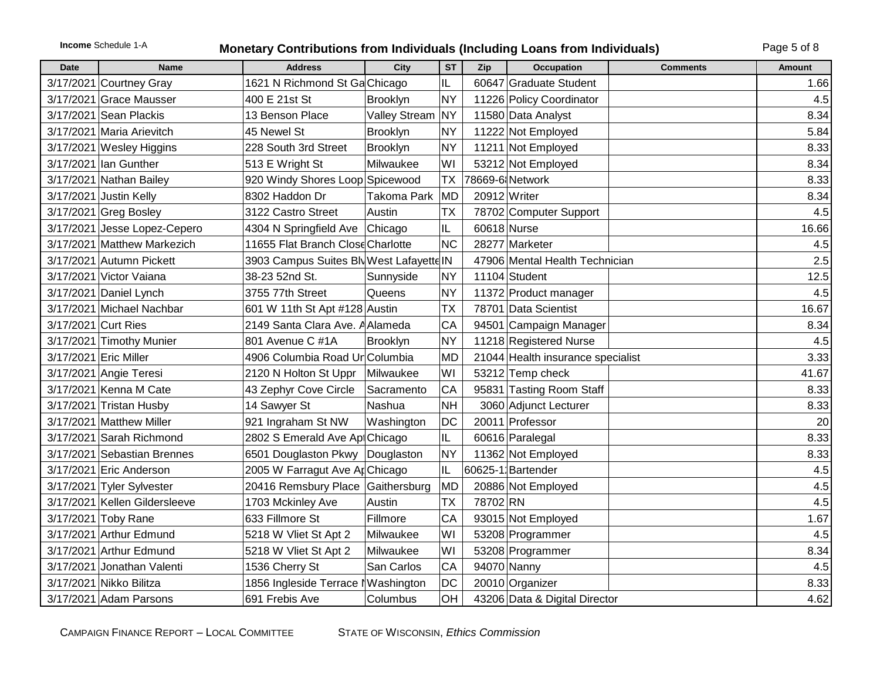# **Income** Schedule 1-A **Monetary Contributions from Individuals (Including Loans from Individuals)** Page 5 of 8

| Date | <b>Name</b>                   | <b>Address</b>                           | <b>City</b>          | <b>ST</b>  | Zip          | <b>Occupation</b>                 | <b>Comments</b> | Amount |
|------|-------------------------------|------------------------------------------|----------------------|------------|--------------|-----------------------------------|-----------------|--------|
|      | 3/17/2021 Courtney Gray       | 1621 N Richmond St Ga Chicago            |                      | IL         |              | 60647 Graduate Student            |                 | 1.66   |
|      | 3/17/2021 Grace Mausser       | 400 E 21st St                            | Brooklyn             | <b>NY</b>  |              | 11226 Policy Coordinator          |                 | 4.5    |
|      | 3/17/2021 Sean Plackis        | 13 Benson Place                          | <b>Valley Stream</b> | <b>NY</b>  |              | 11580 Data Analyst                |                 | 8.34   |
|      | 3/17/2021 Maria Arievitch     | 45 Newel St                              | <b>Brooklyn</b>      | <b>NY</b>  |              | 11222 Not Employed                |                 | 5.84   |
|      | 3/17/2021 Wesley Higgins      | 228 South 3rd Street                     | Brooklyn             | <b>NY</b>  |              | 11211 Not Employed                |                 | 8.33   |
|      | 3/17/2021 Ian Gunther         | 513 E Wright St                          | Milwaukee            | WI         |              | 53212 Not Employed                |                 | 8.34   |
|      | 3/17/2021 Nathan Bailey       | 920 Windy Shores Loop Spicewood          |                      | <b>TX</b>  |              | 78669-6 Network                   |                 | 8.33   |
|      | 3/17/2021 Justin Kelly        | 8302 Haddon Dr                           | <b>Takoma Park</b>   | MD         | 20912 Writer |                                   |                 | 8.34   |
|      | 3/17/2021 Greg Bosley         | 3122 Castro Street                       | Austin               | <b>TX</b>  |              | 78702 Computer Support            |                 | 4.5    |
|      | 3/17/2021 Jesse Lopez-Cepero  | 4304 N Springfield Ave Chicago           |                      | IL         | 60618 Nurse  |                                   |                 | 16.66  |
|      | 3/17/2021 Matthew Markezich   | 11655 Flat Branch Close Charlotte        |                      | <b>NC</b>  |              | 28277 Marketer                    |                 | 4.5    |
|      | 3/17/2021 Autumn Pickett      | 3903 Campus Suites Blv West Lafayette IN |                      |            |              | 47906 Mental Health Technician    |                 | 2.5    |
|      | 3/17/2021 Victor Vaiana       | 38-23 52nd St.                           | Sunnyside            | <b>NY</b>  |              | 11104 Student                     |                 | 12.5   |
|      | 3/17/2021 Daniel Lynch        | 3755 77th Street                         | Queens               | <b>NY</b>  |              | 11372 Product manager             |                 | 4.5    |
|      | 3/17/2021 Michael Nachbar     | 601 W 11th St Apt #128 Austin            |                      | <b>Τ</b> Χ |              | 78701 Data Scientist              |                 | 16.67  |
|      | 3/17/2021 Curt Ries           | 2149 Santa Clara Ave. A Alameda          |                      | CA         |              | 94501 Campaign Manager            |                 | 8.34   |
|      | 3/17/2021 Timothy Munier      | 801 Avenue C #1A                         | Brooklyn             | <b>NY</b>  |              | 11218 Registered Nurse            |                 | 4.5    |
|      | 3/17/2021 Eric Miller         | 4906 Columbia Road Un Columbia           |                      | <b>MD</b>  |              | 21044 Health insurance specialist |                 | 3.33   |
|      | 3/17/2021 Angie Teresi        | 2120 N Holton St Uppr                    | Milwaukee            | WI         |              | 53212 Temp check                  |                 | 41.67  |
|      | 3/17/2021 Kenna M Cate        | 43 Zephyr Cove Circle                    | Sacramento           | CA         |              | 95831 Tasting Room Staff          |                 | 8.33   |
|      | 3/17/2021 Tristan Husby       | 14 Sawyer St                             | Nashua               | <b>NH</b>  |              | 3060 Adjunct Lecturer             |                 | 8.33   |
|      | 3/17/2021 Matthew Miller      | 921 Ingraham St NW                       | Washington           | <b>DC</b>  |              | 20011 Professor                   |                 | 20     |
|      | 3/17/2021 Sarah Richmond      | 2802 S Emerald Ave AptChicago            |                      | IL         |              | 60616 Paralegal                   |                 | 8.33   |
|      | 3/17/2021 Sebastian Brennes   | 6501 Douglaston Pkwy                     | Douglaston           | <b>NY</b>  |              | 11362 Not Employed                |                 | 8.33   |
|      | 3/17/2021 Eric Anderson       | 2005 W Farragut Ave ApChicago            |                      | IL         |              | 60625-1 Bartender                 |                 | 4.5    |
|      | 3/17/2021 Tyler Sylvester     | 20416 Remsbury Place                     | Gaithersburg         | MD         |              | 20886 Not Employed                |                 | 4.5    |
|      | 3/17/2021 Kellen Gildersleeve | 1703 Mckinley Ave                        | Austin               | <b>TX</b>  | 78702 RN     |                                   |                 | 4.5    |
|      | 3/17/2021 Toby Rane           | 633 Fillmore St                          | Fillmore             | CA         |              | 93015 Not Employed                |                 | 1.67   |
|      | 3/17/2021 Arthur Edmund       | 5218 W Vliet St Apt 2                    | Milwaukee            | WI         |              | 53208 Programmer                  |                 | 4.5    |
|      | 3/17/2021 Arthur Edmund       | 5218 W Vliet St Apt 2                    | Milwaukee            | WI         |              | 53208 Programmer                  |                 | 8.34   |
|      | 3/17/2021 Jonathan Valenti    | 1536 Cherry St                           | San Carlos           | CA         | 94070 Nanny  |                                   |                 | 4.5    |
|      | 3/17/2021 Nikko Bilitza       | 1856 Ingleside Terrace NWashington       |                      | <b>DC</b>  |              | 20010 Organizer                   |                 | 8.33   |
|      | 3/17/2021 Adam Parsons        | 691 Frebis Ave                           | Columbus             | OH         |              | 43206 Data & Digital Director     |                 | 4.62   |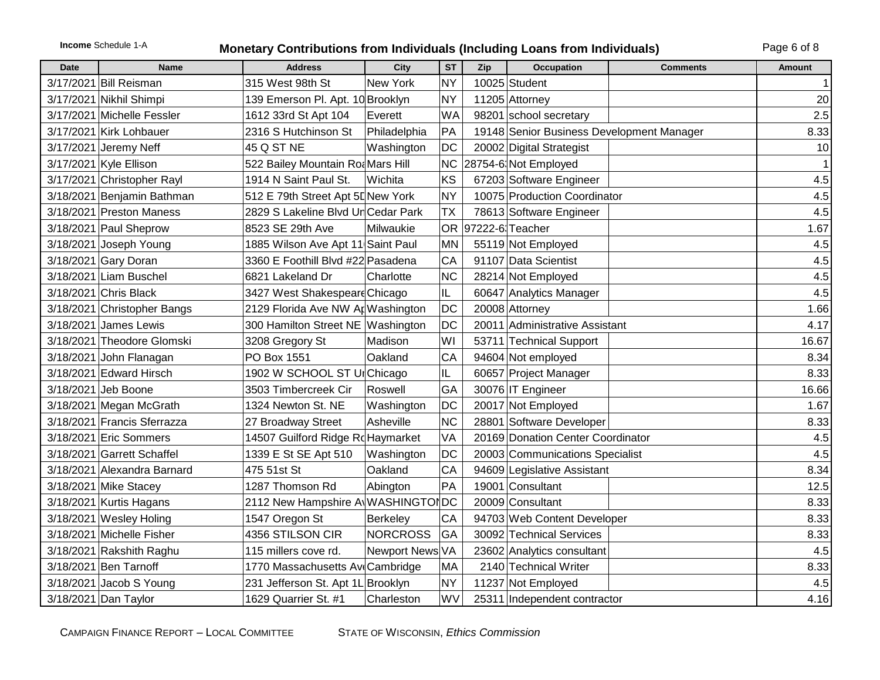### **Income** Schedule 1-A **Monetary Contributions from Individuals (Including Loans from Individuals)** Page 6 of 8

| Date | <b>Name</b>                 | <b>Address</b>                    | <b>City</b>     | <b>ST</b> | Zip | <b>Occupation</b>                         | <b>Comments</b> | Amount |
|------|-----------------------------|-----------------------------------|-----------------|-----------|-----|-------------------------------------------|-----------------|--------|
|      | 3/17/2021 Bill Reisman      | 315 West 98th St                  | New York        | <b>NY</b> |     | 10025 Student                             |                 |        |
|      | 3/17/2021 Nikhil Shimpi     | 139 Emerson Pl. Apt. 10 Brooklyn  |                 | <b>NY</b> |     | 11205 Attorney                            |                 | 20     |
|      | 3/17/2021 Michelle Fessler  | 1612 33rd St Apt 104              | Everett         | <b>WA</b> |     | 98201 school secretary                    |                 | 2.5    |
|      | 3/17/2021 Kirk Lohbauer     | 2316 S Hutchinson St              | Philadelphia    | PA        |     | 19148 Senior Business Development Manager |                 | 8.33   |
|      | 3/17/2021 Jeremy Neff       | 45 Q ST NE                        | Washington      | DC        |     | 20002 Digital Strategist                  |                 | 10     |
|      | 3/17/2021 Kyle Ellison      | 522 Bailey Mountain Roa Mars Hill |                 | <b>NC</b> |     | 28754-6 Not Employed                      |                 |        |
|      | 3/17/2021 Christopher Rayl  | 1914 N Saint Paul St.             | Wichita         | KS        |     | 67203 Software Engineer                   |                 | 4.5    |
|      | 3/18/2021 Benjamin Bathman  | 512 E 79th Street Apt 5DNew York  |                 | <b>NY</b> |     | 10075 Production Coordinator              |                 | 4.5    |
|      | 3/18/2021 Preston Maness    | 2829 S Lakeline Blvd UnCedar Park |                 | <b>TX</b> |     | 78613 Software Engineer                   |                 | 4.5    |
|      | 3/18/2021 Paul Sheprow      | 8523 SE 29th Ave                  | Milwaukie       | <b>OR</b> |     | 97222-6 Teacher                           |                 | 1.67   |
|      | 3/18/2021 Joseph Young      | 1885 Wilson Ave Apt 11 Saint Paul |                 | <b>MN</b> |     | 55119 Not Employed                        |                 | 4.5    |
|      | 3/18/2021 Gary Doran        | 3360 E Foothill Blvd #22 Pasadena |                 | CA        |     | 91107 Data Scientist                      |                 | 4.5    |
|      | 3/18/2021 Liam Buschel      | 6821 Lakeland Dr                  | Charlotte       | <b>NC</b> |     | 28214 Not Employed                        |                 | 4.5    |
|      | 3/18/2021 Chris Black       | 3427 West Shakespeare Chicago     |                 | IL.       |     | 60647 Analytics Manager                   |                 | 4.5    |
|      | 3/18/2021 Christopher Bangs | 2129 Florida Ave NW Ap Washington |                 | DC        |     | 20008 Attorney                            |                 | 1.66   |
|      | 3/18/2021 James Lewis       | 300 Hamilton Street NE Washington |                 | DC        |     | 20011 Administrative Assistant            |                 | 4.17   |
|      | 3/18/2021 Theodore Glomski  | 3208 Gregory St                   | Madison         | WI        |     | 53711 Technical Support                   |                 | 16.67  |
|      | 3/18/2021 John Flanagan     | PO Box 1551                       | Oakland         | CA        |     | 94604 Not employed                        |                 | 8.34   |
|      | 3/18/2021 Edward Hirsch     | 1902 W SCHOOL ST UrChicago        |                 | IL        |     | 60657 Project Manager                     |                 | 8.33   |
|      | 3/18/2021 Jeb Boone         | 3503 Timbercreek Cir              | Roswell         | GA        |     | 30076 IT Engineer                         |                 | 16.66  |
|      | 3/18/2021 Megan McGrath     | 1324 Newton St. NE                | Washington      | DC        |     | 20017 Not Employed                        |                 | 1.67   |
|      | 3/18/2021 Francis Sferrazza | 27 Broadway Street                | Asheville       | <b>NC</b> |     | 28801 Software Developer                  |                 | 8.33   |
|      | 3/18/2021 Eric Sommers      | 14507 Guilford Ridge Rd Haymarket |                 | VA        |     | 20169 Donation Center Coordinator         |                 | 4.5    |
|      | 3/18/2021 Garrett Schaffel  | 1339 E St SE Apt 510              | Washington      | DC        |     | 20003 Communications Specialist           |                 | 4.5    |
|      | 3/18/2021 Alexandra Barnard | 475 51st St                       | Oakland         | CA        |     | 94609 Legislative Assistant               |                 | 8.34   |
|      | 3/18/2021 Mike Stacey       | 1287 Thomson Rd                   | Abington        | PA        |     | 19001 Consultant                          |                 | 12.5   |
|      | 3/18/2021 Kurtis Hagans     | 2112 New Hampshire A WASHINGTONDC |                 |           |     | 20009 Consultant                          |                 | 8.33   |
|      | 3/18/2021 Wesley Holing     | 1547 Oregon St                    | Berkeley        | CA        |     | 94703 Web Content Developer               |                 | 8.33   |
|      | 3/18/2021 Michelle Fisher   | 4356 STILSON CIR                  | <b>NORCROSS</b> | GA        |     | 30092 Technical Services                  |                 | 8.33   |
|      | 3/18/2021 Rakshith Raghu    | 115 millers cove rd.              | Newport News VA |           |     | 23602 Analytics consultant                |                 | 4.5    |
|      | 3/18/2021 Ben Tarnoff       | 1770 Massachusetts Av Cambridge   |                 | MA        |     | 2140 Technical Writer                     |                 | 8.33   |
|      | $3/18/2021$ Jacob S Young   | 231 Jefferson St. Apt 1L Brooklyn |                 | <b>NY</b> |     | 11237 Not Employed                        |                 | 4.5    |
|      | 3/18/2021 Dan Taylor        | 1629 Quarrier St. #1              | Charleston      | WV        |     | 25311 Independent contractor              |                 | 4.16   |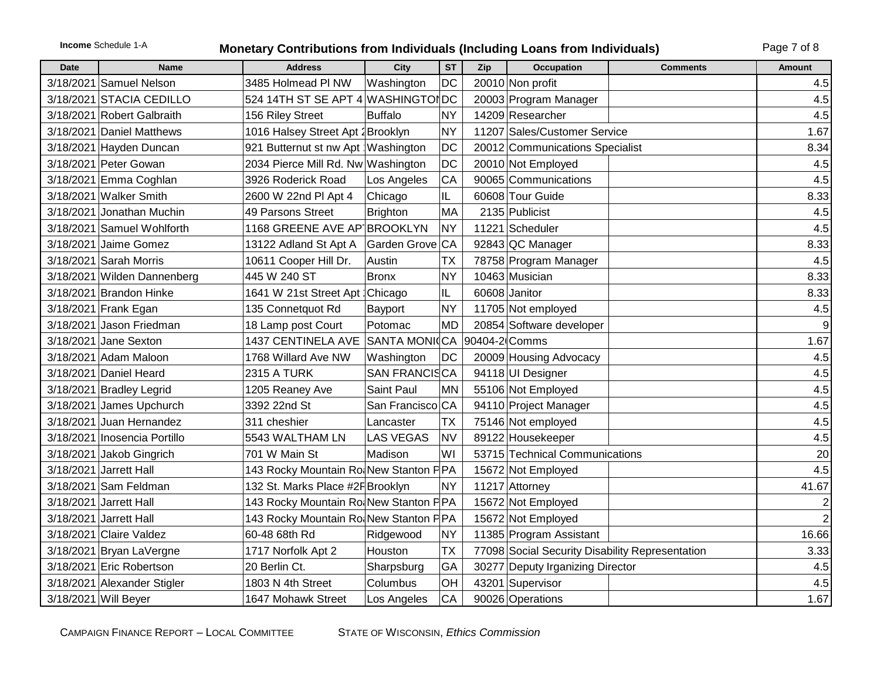# **Income** Schedule 1-A **Monetary Contributions from Individuals (Including Loans from Individuals)** Page 7 of 8

| <b>Date</b> | <b>Name</b>                  | <b>Address</b>                        | City             | <b>ST</b> | Zip           | <b>Occupation</b>                               | <b>Comments</b> | <b>Amount</b>  |
|-------------|------------------------------|---------------------------------------|------------------|-----------|---------------|-------------------------------------------------|-----------------|----------------|
|             | 3/18/2021 Samuel Nelson      | 3485 Holmead PI NW                    | Washington       | <b>DC</b> |               | 20010 Non profit                                |                 | 4.5            |
|             | 3/18/2021 STACIA CEDILLO     | 524 14TH ST SE APT 4 WASHINGTONDC     |                  |           |               | 20003 Program Manager                           |                 | 4.5            |
|             | 3/18/2021 Robert Galbraith   | 156 Riley Street                      | <b>Buffalo</b>   | <b>NY</b> |               | 14209 Researcher                                |                 | 4.5            |
|             | 3/18/2021 Daniel Matthews    | 1016 Halsey Street Apt 2 Brooklyn     |                  | <b>NY</b> |               | 11207 Sales/Customer Service                    |                 | 1.67           |
|             | 3/18/2021 Hayden Duncan      | 921 Butternut st nw Apt Washington    |                  | DC        |               | 20012 Communications Specialist                 |                 | 8.34           |
|             | 3/18/2021 Peter Gowan        | 2034 Pierce Mill Rd. Nw Washington    |                  | DC        |               | 20010 Not Employed                              |                 | 4.5            |
|             | 3/18/2021 Emma Coghlan       | 3926 Roderick Road                    | Los Angeles      | CA        |               | 90065 Communications                            |                 | 4.5            |
|             | 3/18/2021 Walker Smith       | 2600 W 22nd Pl Apt 4                  | Chicago          | IL        |               | 60608 Tour Guide                                |                 | 8.33           |
|             | 3/18/2021 Jonathan Muchin    | 49 Parsons Street                     | <b>Brighton</b>  | MA        |               | 2135 Publicist                                  |                 | 4.5            |
|             | 3/18/2021 Samuel Wohlforth   | 1168 GREENE AVE AP BROOKLYN           |                  | <b>NY</b> |               | 11221 Scheduler                                 |                 | 4.5            |
|             | 3/18/2021 Jaime Gomez        | 13122 Adland St Apt A                 | Garden Grove CA  |           |               | 92843 QC Manager                                |                 | 8.33           |
|             | 3/18/2021 Sarah Morris       | 10611 Cooper Hill Dr.                 | Austin           | <b>TX</b> |               | 78758 Program Manager                           |                 | 4.5            |
|             | 3/18/2021 Wilden Dannenberg  | 445 W 240 ST                          | <b>Bronx</b>     | <b>NY</b> |               | 10463 Musician                                  |                 | 8.33           |
|             | 3/18/2021 Brandon Hinke      | 1641 W 21st Street Apt : Chicago      |                  | IL        |               | 60608 Janitor                                   |                 | 8.33           |
|             | 3/18/2021 Frank Egan         | 135 Connetquot Rd                     | Bayport          | <b>NY</b> |               | 11705 Not employed                              |                 | 4.5            |
|             | 3/18/2021 Jason Friedman     | 18 Lamp post Court                    | Potomac          | <b>MD</b> |               | 20854 Software developer                        |                 | 9              |
|             | 3/18/2021 Jane Sexton        | 1437 CENTINELA AVE                    | SANTA MONICA     |           | 90404-2 Comms |                                                 |                 | 1.67           |
|             | 3/18/2021 Adam Maloon        | 1768 Willard Ave NW                   | Washington       | DC        |               | 20009 Housing Advocacy                          |                 | 4.5            |
|             | 3/18/2021 Daniel Heard       | <b>2315 A TURK</b>                    | SAN FRANCISCA    |           |               | 94118 UI Designer                               |                 | 4.5            |
|             | 3/18/2021 Bradley Legrid     | 1205 Reaney Ave                       | Saint Paul       | <b>MN</b> |               | 55106 Not Employed                              |                 | 4.5            |
|             | 3/18/2021 James Upchurch     | 3392 22nd St                          | San Francisco CA |           |               | 94110 Project Manager                           |                 | 4.5            |
|             | 3/18/2021 Juan Hernandez     | 311 cheshier                          | Lancaster        | <b>TX</b> |               | 75146 Not employed                              |                 | 4.5            |
|             | 3/18/2021 Inosencia Portillo | 5543 WALTHAM LN                       | <b>LAS VEGAS</b> | <b>NV</b> |               | 89122 Housekeeper                               |                 | 4.5            |
|             | 3/18/2021 Jakob Gingrich     | 701 W Main St                         | Madison          | WI        |               | 53715 Technical Communications                  |                 | 20             |
|             | 3/18/2021 Jarrett Hall       | 143 Rocky Mountain Ro New Stanton PPA |                  |           |               | 15672 Not Employed                              |                 | 4.5            |
|             | 3/18/2021 Sam Feldman        | 132 St. Marks Place #2R Brooklyn      |                  | <b>NY</b> |               | 11217 Attorney                                  |                 | 41.67          |
|             | 3/18/2021 Jarrett Hall       | 143 Rocky Mountain Ro New Stanton PPA |                  |           |               | 15672 Not Employed                              |                 | $\overline{2}$ |
|             | 3/18/2021 Jarrett Hall       | 143 Rocky Mountain Ro New Stanton PPA |                  |           |               | 15672 Not Employed                              |                 |                |
|             | 3/18/2021 Claire Valdez      | 60-48 68th Rd                         | Ridgewood        | <b>NY</b> |               | 11385 Program Assistant                         |                 | 16.66          |
|             | 3/18/2021 Bryan LaVergne     | 1717 Norfolk Apt 2                    | Houston          | <b>TX</b> |               | 77098 Social Security Disability Representation |                 | 3.33           |
|             | 3/18/2021 Eric Robertson     | 20 Berlin Ct.                         | Sharpsburg       | GA        |               | 30277 Deputy Irganizing Director                |                 | 4.5            |
|             | 3/18/2021 Alexander Stigler  | 1803 N 4th Street                     | Columbus         | OH        |               | 43201 Supervisor                                |                 | 4.5            |
|             | 3/18/2021 Will Beyer         | 1647 Mohawk Street                    | Los Angeles      | CA        |               | 90026 Operations                                |                 | 1.67           |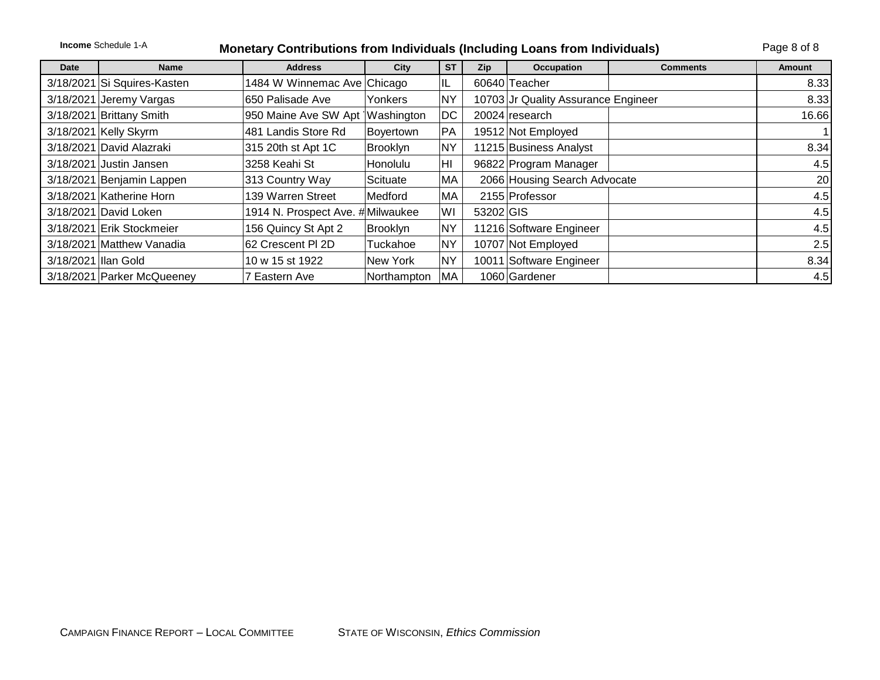|                      | <b>Income Schedule 1-A</b><br><b>Monetary Contributions from Individuals (Including Loans from Individuals)</b> |                                   |                 |                |            |                                     |                 |        |  |
|----------------------|-----------------------------------------------------------------------------------------------------------------|-----------------------------------|-----------------|----------------|------------|-------------------------------------|-----------------|--------|--|
| <b>Date</b>          | <b>Name</b>                                                                                                     | <b>Address</b>                    | City            | <b>ST</b>      | <b>Zip</b> | Occupation                          | <b>Comments</b> | Amount |  |
|                      | 3/18/2021 Si Squires-Kasten                                                                                     | 1484 W Winnemac Ave Chicago       |                 | IL.            |            | 60640 Teacher                       |                 | 8.33   |  |
|                      | 3/18/2021 Jeremy Vargas                                                                                         | 650 Palisade Ave                  | Yonkers         | <b>NY</b>      |            | 10703 Jr Quality Assurance Engineer |                 | 8.33   |  |
|                      | 3/18/2021 Brittany Smith                                                                                        | 950 Maine Ave SW Apt   Washington |                 | DC             |            | 20024 research                      |                 | 16.66  |  |
|                      | 3/18/2021 Kelly Skyrm                                                                                           | 481 Landis Store Rd               | Boyertown       | <b>PA</b>      |            | 19512 Not Employed                  |                 |        |  |
|                      | 3/18/2021 David Alazraki                                                                                        | 315 20th st Apt 1C                | <b>Brooklyn</b> | <b>NY</b>      |            | 11215 Business Analyst              |                 | 8.34   |  |
|                      | 3/18/2021 Justin Jansen                                                                                         | 3258 Keahi St                     | <b>Honolulu</b> | H <sub>l</sub> |            | 96822 Program Manager               |                 | 4.5    |  |
|                      | 3/18/2021 Benjamin Lappen                                                                                       | 313 Country Way                   | Scituate        | MA             |            | 2066 Housing Search Advocate        |                 | 20     |  |
|                      | 3/18/2021 Katherine Horn                                                                                        | 139 Warren Street                 | Medford         | МA             |            | 2155 Professor                      |                 | 4.5    |  |
|                      | 3/18/2021 David Loken                                                                                           | 1914 N. Prospect Ave. #Milwaukee  |                 | WI             | 53202 GIS  |                                     |                 | 4.5    |  |
|                      | 3/18/2021 Erik Stockmeier                                                                                       | 156 Quincy St Apt 2               | <b>Brooklyn</b> | <b>NY</b>      |            | 11216 Software Engineer             |                 | 4.5    |  |
|                      | 3/18/2021 Matthew Vanadia                                                                                       | 62 Crescent PI 2D                 | Tuckahoe        | <b>NY</b>      |            | 10707 Not Employed                  |                 | 2.5    |  |
| 3/18/2021 Illan Gold |                                                                                                                 | 10 w 15 st 1922                   | New York        | <b>NY</b>      |            | 10011 Software Engineer             |                 | 8.34   |  |
|                      | 3/18/2021 Parker McQueeney                                                                                      | 7 Eastern Ave                     | Northampton     | MA             |            | 1060 Gardener                       |                 | 4.5    |  |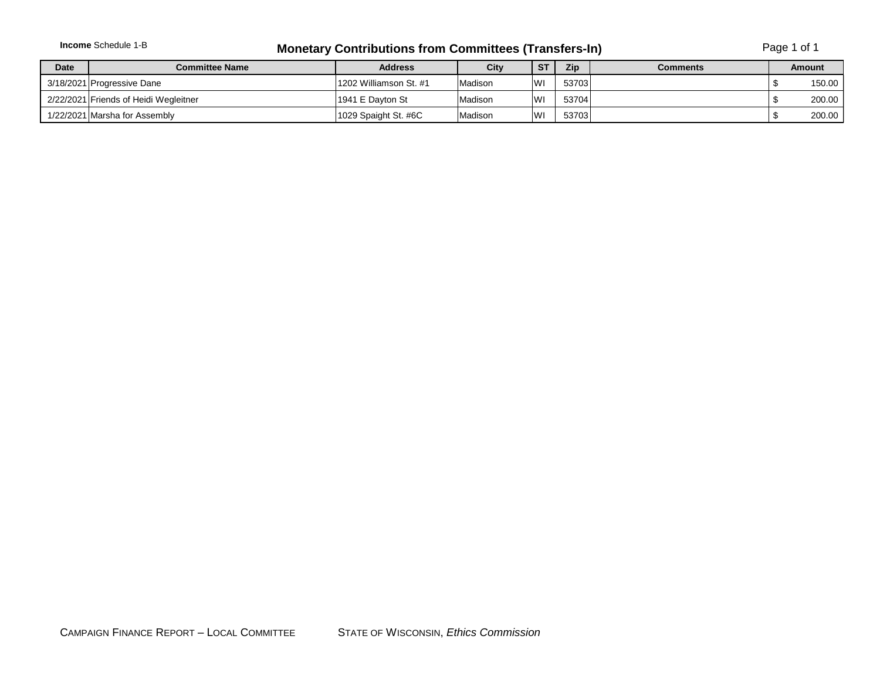|             | <b>Income</b> Schedule 1-B            | <b>Monetary Contributions from Committees (Transfers-In)</b> |         | Page 1 of 1 |            |                 |  |               |
|-------------|---------------------------------------|--------------------------------------------------------------|---------|-------------|------------|-----------------|--|---------------|
| <b>Date</b> | Committee Name                        | <b>Address</b>                                               | City    | -ST         | <b>Zip</b> | <b>Comments</b> |  | <b>Amount</b> |
|             | 3/18/2021 Progressive Dane            | 1202 Williamson St. #1                                       | Madison | <b>IWI</b>  | 53703      |                 |  | 150.00        |
|             | 2/22/2021 Friends of Heidi Wegleitner | l1941 E Davton St                                            | Madison | <b>IWI</b>  | 53704      |                 |  | 200.00        |
|             | 1/22/2021 Marsha for Assembly         | 1029 Spaight St. #6C                                         | Madison | <b>WI</b>   | 53703      |                 |  | 200.00        |